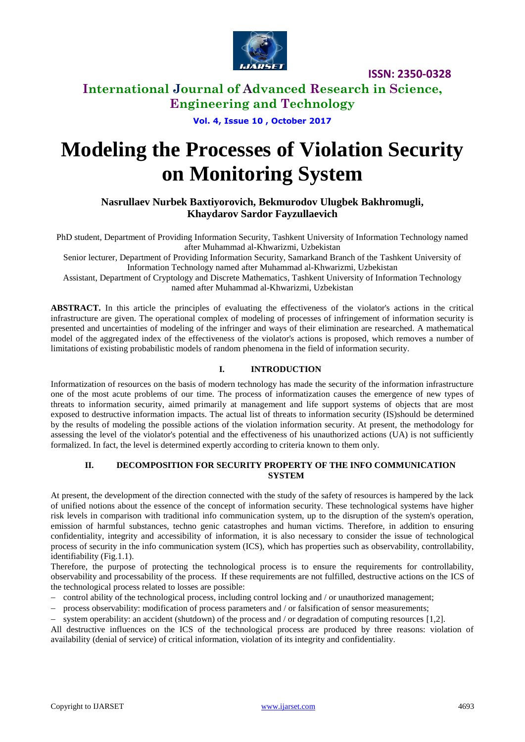

### **International Journal of Advanced Research in Science, Engineering and Technology**

**Vol. 4, Issue 10 , October 2017**

# **Modeling the Processes of Violation Security on Monitoring System**

**Nasrullaev Nurbek Baxtiyorovich, Bekmurodov Ulugbek Bakhromugli, Khaydarov Sardor Fayzullaevich**

PhD student, Department of Providing Information Security, Tashkent University of Information Technology named after Muhammad al-Khwarizmi, Uzbekistan

Senior lecturer, Department of Providing Information Security, Samarkand Branch of the Tashkent University of Information Technology named after Muhammad al-Khwarizmi, Uzbekistan

Assistant, Department of Cryptology and Discrete Mathematics, Tashkent University of Information Technology named after Muhammad al-Khwarizmi, Uzbekistan

**ABSTRACT.** In this article the principles of evaluating the effectiveness of the violator's actions in the critical infrastructure are given. The operational complex of modeling of processes of infringement of information security is presented and uncertainties of modeling of the infringer and ways of their elimination are researched. A mathematical model of the aggregated index of the effectiveness of the violator's actions is proposed, which removes a number of limitations of existing probabilistic models of random phenomena in the field of information security.

### **I. INTRODUCTION**

Informatization of resources on the basis of modern technology has made the security of the information infrastructure one of the most acute problems of our time. The process of informatization causes the emergence of new types of threats to information security, aimed primarily at management and life support systems of objects that are most exposed to destructive information impacts. The actual list of threats to information security (IS)should be determined by the results of modeling the possible actions of the violation information security. At present, the methodology for assessing the level of the violator's potential and the effectiveness of his unauthorized actions (UA) is not sufficiently formalized. In fact, the level is determined expertly according to criteria known to them only.

#### **II. DECOMPOSITION FOR SECURITY PROPERTY OF THE INFO COMMUNICATION SYSTEM**

At present, the development of the direction connected with the study of the safety of resources is hampered by the lack of unified notions about the essence of the concept of information security. These technological systems have higher risk levels in comparison with traditional info communication system, up to the disruption of the system's operation, emission of harmful substances, techno genic catastrophes and human victims. Therefore, in addition to ensuring confidentiality, integrity and accessibility of information, it is also necessary to consider the issue of technological process of security in the info communication system (ICS), which has properties such as observability, controllability, identifiability (Fig.1.1).

Therefore, the purpose of protecting the technological process is to ensure the requirements for controllability, observability and processability of the process. If these requirements are not fulfilled, destructive actions on the ICS of the technological process related to losses are possible:

- control ability of the technological process, including control locking and / or unauthorized management;
- process observability: modification of process parameters and / or falsification of sensor measurements;
- system operability: an accident (shutdown) of the process and / or degradation of computing resources [1,2].

All destructive influences on the ICS of the technological process are produced by three reasons: violation of availability (denial of service) of critical information, violation of its integrity and confidentiality.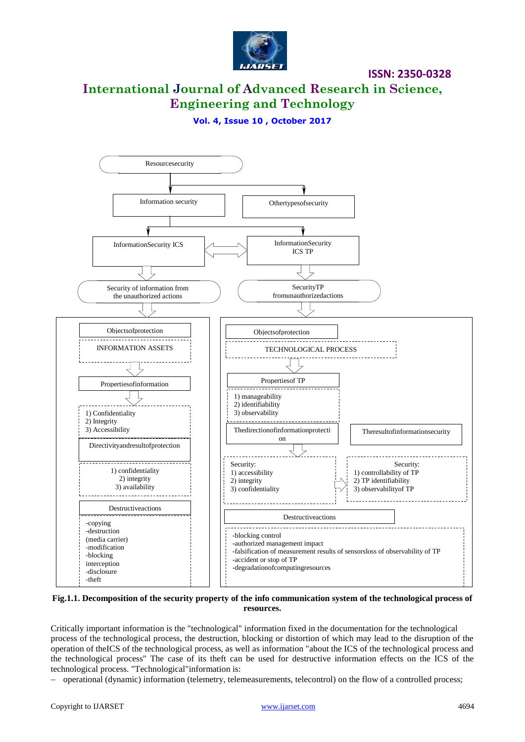

# **International Journal of Advanced Research in Science, Engineering and Technology**

**Vol. 4, Issue 10 , October 2017**



#### **Fig.1.1. Decomposition of the security property of the info communication system of the technological process of resources.**

Critically important information is the "technological" information fixed in the documentation for the technological process of the technological process, the destruction, blocking or distortion of which may lead to the disruption of the operation of theICS of the technological process, as well as information "about the ICS of the technological process and the technological process" The case of its theft can be used for destructive information effects on the ICS of the technological process. "Technological"information is:

operational (dynamic) information (telemetry, telemeasurements, telecontrol) on the flow of a controlled process;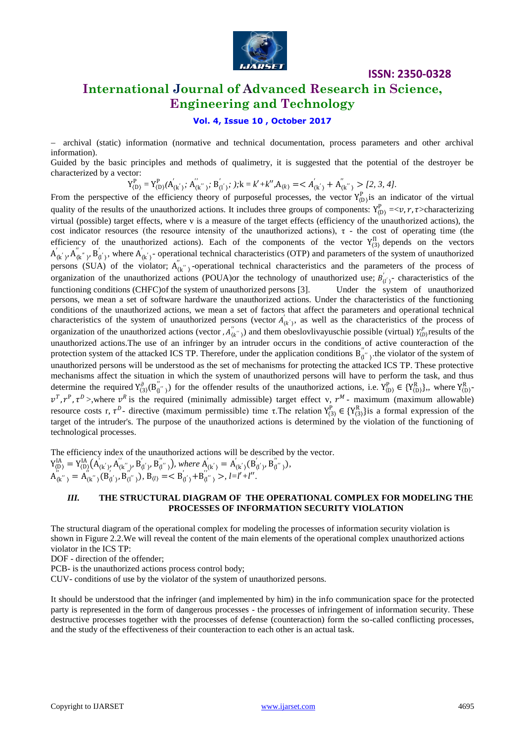

### **International Journal of Advanced Research in Science, Engineering and Technology**

### **Vol. 4, Issue 10 , October 2017**

 archival (static) information (normative and technical documentation, process parameters and other archival information).

Guided by the basic principles and methods of qualimetry, it is suggested that the potential of the destroyer be characterized by a vector:

$$
Y_{(D)}^P = Y_{(D)}^P(A'_{(k')}; A''_{(k'')}; B'_{(l')}; ); k = k' + k'', A_{(k)} = < A'_{(k')} + A''_{(k'')} > [2, 3, 4].
$$

From the perspective of the efficiency theory of purposeful processes, the vector  $Y_{(D)}^P$  is an indicator of the virtual quality of the results of the unauthorized actions. It includes three groups of components:  $Y_{(D)}^P = \langle v, r, \tau \rangle$ characterizing virtual (possible) target effects, where v is a measure of the target effects (efficiency of the unauthorized actions), the cost indicator resources (the resource intensity of the unauthorized actions),  $\tau$  - the cost of operating time (the efficiency of the unauthorized actions). Each of the components of the vector  $Y_{(3)}^{\Pi}$  depends on the vectors  $A'_{(k')}$ ,  $A''_{(k'')}$ ,  $B'_{(l')}$ , where  $A'_{(k')}$ - operational technical characteristics (OTP) and parameters of the system of unauthorized persons (SUA) of the violator;  $A_{(k)}^{"}$  -operational technical characteristics and the parameters of the process of organization of the unauthorized actions (POUA)or the technology of unauthorized use;  $B'_{(l')}$ - characteristics of the functioning conditions (CHFC)of the system of unauthorized persons [3]. Under the system of unauthorized persons, we mean a set of software hardware the unauthorized actions. Under the characteristics of the functioning conditions of the unauthorized actions, we mean a set of factors that affect the parameters and operational technical characteristics of the system of unauthorized persons (vector  $A'_{(k)}$ , as well as the characteristics of the process of organization of the unauthorized actions (vector ,  $A''_{(k'')}$ ) and them obeslovlivayuschie possible (virtual)  $Y_{(D)}^P$  results of the unauthorized actions.The use of an infringer by an intruder occurs in the conditions of active counteraction of the protection system of the attacked ICS TP. Therefore, under the application conditions  $B_{(I'')}^{"}$ , the violator of the system of unauthorized persons will be understood as the set of mechanisms for protecting the attacked ICS TP. These protective mechanisms affect the situation in which the system of unauthorized persons will have to perform the task, and thus determine the required  $Y^{\partial}_{(3)}(B^{''}_{(1'')})$  for the offender results of the unauthorized actions, i.e.  $Y^P_{(D)} \in \{Y^R_{(D)}\}$ , where  $Y^R_{(D)}$  $v^T$ ,  $r^P$ ,  $\tau^D$  >, where  $v^R$  is the required (minimally admissible) target effect v,  $r^M$ - maximum (maximum allowable) resource costs r,  $\tau^D$ - directive (maximum permissible) time  $\tau$ . The relation  $Y^P_{(3)} \in \{Y^R_{(3)}\}$  is a formal expression of the target of the intruder's. The purpose of the unauthorized actions is determined by the violation of the functioning of technological processes.

The efficiency index of the unauthorized actions will be described by the vector.  $Y_{(D)}^{IA} = Y_{(D)}^{IA}(A'_{(k')}, A''_{(k'')}, B'_{(l')}, B''_{(l'')})$ , where  $A'_{(k')} = A'_{(k')}(B'_{(l')}, B''_{(l'')})$ ,  $A''_{(k''\)} = A''_{(k''\)}(B'_{(l')}, B''_{(l'')})$ ,  $B_{(l)} = \langle B'_{(l')}\rangle + B''_{(l''\)} \rangle$ ,  $l = l' + l''$ .

### *III.* **THE STRUCTURAL DIAGRAM OF THE OPERATIONAL COMPLEX FOR MODELING THE PROCESSES OF INFORMATION SECURITY VIOLATION**

The structural diagram of the operational complex for modeling the processes of information security violation is shown in Figure 2.2.We will reveal the content of the main elements of the operational complex unauthorized actions violator in the ICS TP:

DOF - direction of the offender;

PCB- is the unauthorized actions process control body;

CUV- conditions of use by the violator of the system of unauthorized persons.

It should be understood that the infringer (and implemented by him) in the info communication space for the protected party is represented in the form of dangerous processes - the processes of infringement of information security. These destructive processes together with the processes of defense (counteraction) form the so-called conflicting processes, and the study of the effectiveness of their counteraction to each other is an actual task.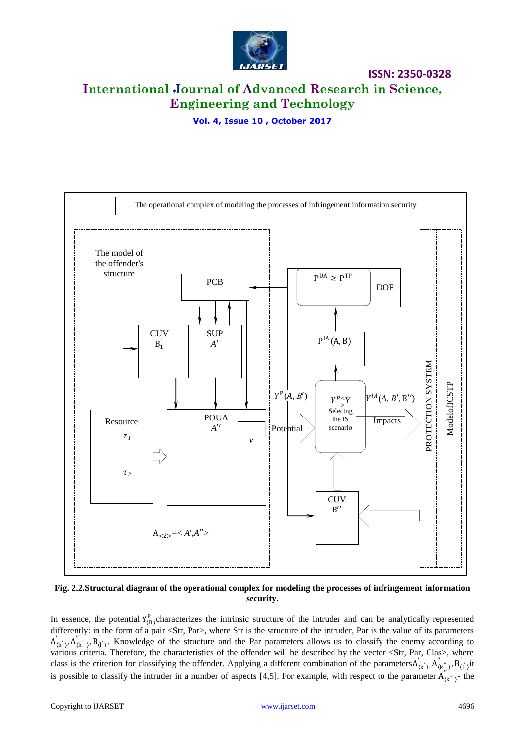

**ISSN: 2350-0328 International Journal of Advanced Research in Science, Engineering and Technology**

**Vol. 4, Issue 10 , October 2017**



**Fig. 2.2.Structural diagram of the operational complex for modeling the processes of infringement information security.**

In essence, the potential  $Y_{(D)}^P$ characterizes the intrinsic structure of the intruder and can be analytically represented differently: in the form of a pair <Str, Par>, where Str is the structure of the intruder, Par is the value of its parameters  $A'_{(k')}, A''_{(k'')}, B'_{(l')}$ . Knowledge of the structure and the Par parameters allows us to classify the enemy according to various criteria. Therefore, the characteristics of the offender will be described by the vector <Str, Par, Clas>, where class is the criterion for classifying the offender. Applying a different combination of the parameters  $A'_{(k'')}$ ,  $A''_{(k'')}$ ,  $B'_{(l')}$ , it is possible to classify the intruder in a number of aspects [4,5]. For example, with respect to the parameter  $A''_{(k'')}$ - the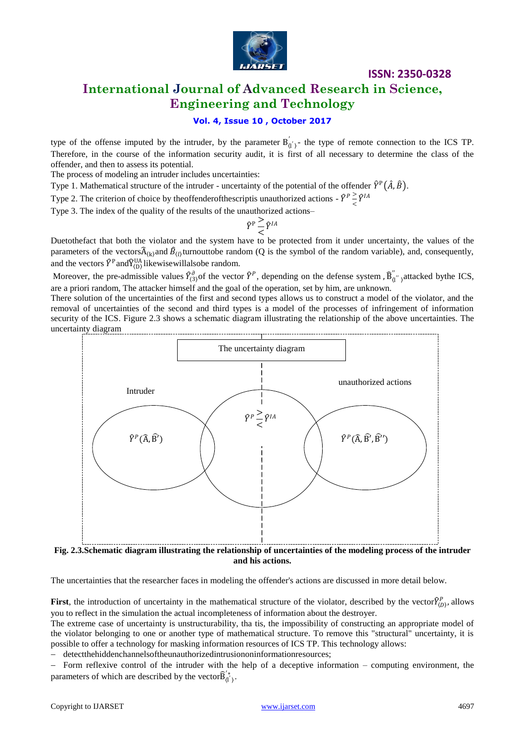

### **International Journal of Advanced Research in Science, Engineering and Technology**

### **Vol. 4, Issue 10 , October 2017**

type of the offense imputed by the intruder, by the parameter  $B_{(1)}^{'}$ - the type of remote connection to the ICS TP. Therefore, in the course of the information security audit, it is first of all necessary to determine the class of the offender, and then to assess its potential.

The process of modeling an intruder includes uncertainties:

Type 1. Mathematical structure of the intruder - uncertainty of the potential of the offender  $\hat{Y}^{\text{P}}(\hat{A},\hat{B})$ .

Type 2. The criterion of choice by theoffenderofthescriptis unauthorized actions -  $\hat{Y}^p \ge \hat{Y}^{IA}$ 

Type 3. The index of the quality of the results of the unauthorized actions–

$$
\widehat{Y}^{\mathrm{P}} \frac{\mathrm{>}}{<} \widehat{Y}^{IA}
$$

Duetothefact that both the violator and the system have to be protected from it under uncertainty, the values of the parameters of the vectors $\widehat{A}_{(k)}$  and  $\widehat{B}_{(l)}$  turnouttobe random (Q is the symbol of the random variable), and, consequently, and the vectors  $\hat{Y}^{\text{P}}$  and  $\hat{Y}^{\text{UA}}_{(D)}$  likewise will also be random.

Moreover, the pre-admissible values  $\hat{Y}_{(3)}^{\partial}$  of the vector  $\hat{Y}^P$ , depending on the defense system,  $\hat{B}_{(1)}^{''}$ , attacked bythe ICS, are a priori random, The attacker himself and the goal of the operation, set by him, are unknown.

There solution of the uncertainties of the first and second types allows us to construct a model of the violator, and the removal of uncertainties of the second and third types is a model of the processes of infringement of information security of the ICS. Figure 2.3 shows a schematic diagram illustrating the relationship of the above uncertainties. The uncertainty diagram



**Fig. 2.3.Schematic diagram illustrating the relationship of uncertainties of the modeling process of the intruder and his actions.**

The uncertainties that the researcher faces in modeling the offender's actions are discussed in more detail below.

**First**, the introduction of uncertainty in the mathematical structure of the violator, described by the vector $\hat{Y}_{(D)}^P$ , allows you to reflect in the simulation the actual incompleteness of information about the destroyer.

The extreme case of uncertainty is unstructurability, tha tis, the impossibility of constructing an appropriate model of the violator belonging to one or another type of mathematical structure. To remove this "structural" uncertainty, it is possible to offer a technology for masking information resources of ICS TP. This technology allows:

detectthehiddenchannelsoftheunauthorizedintrusiononinformationresources;

- Form reflexive control of the intruder with the help of a deceptive information – computing environment, the parameters of which are described by the vector $\widehat{B}'^*_{(1)}$ .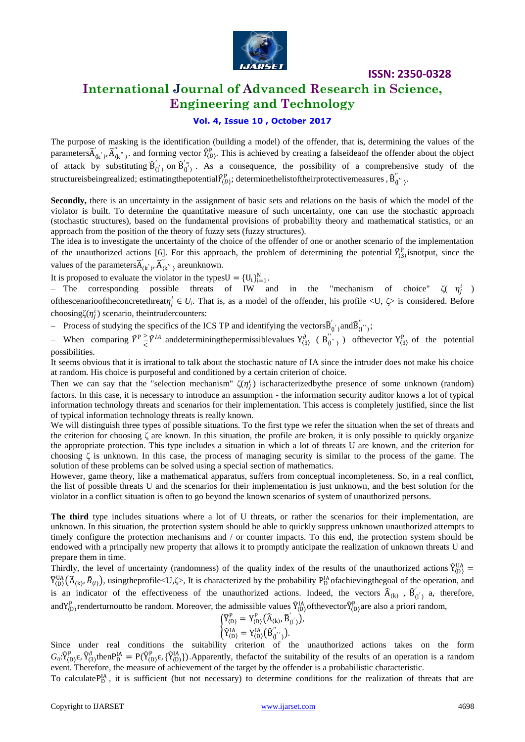

### **International Journal of Advanced Research in Science, Engineering and Technology**

### **Vol. 4, Issue 10 , October 2017**

The purpose of masking is the identification (building a model) of the offender, that is, determining the values of the parameters $\widehat{A}'_{(k)}, \widehat{A}''_{(k')}$ , and forming vector  $\widehat{Y}_{(D)}^{\text{p}}$ . This is achieved by creating a falseideaof the offender about the object of attack by substituting  $\hat{B}_{(l)}'$  on  $\hat{B}_{(l)}'$ . As a consequence, the possibility of a comprehensive study of the structureisbeingrealized; estimatingthepotential $\widehat{Y}_{(D)}^{\mathrm{P}}$ ; determinethelistoftheirprotectivemeasures ,  $\widehat{B}_{(l]}^{''}$ ,

**Secondly,** there is an uncertainty in the assignment of basic sets and relations on the basis of which the model of the violator is built. To determine the quantitative measure of such uncertainty, one can use the stochastic approach (stochastic structures), based on the fundamental provisions of probability theory and mathematical statistics, or an approach from the position of the theory of fuzzy sets (fuzzy structures).

The idea is to investigate the uncertainty of the choice of the offender of one or another scenario of the implementation of the unauthorized actions [6]. For this approach, the problem of determining the potential  $\hat{Y}_{(3)}^{\text{p}}$  isnotput, since the values of the parameters  $\widehat{A}'_{(k)}, \widehat{A}''_{(k')}$  areunknown.

It is proposed to evaluate the violator in the types $U = \{U_i\}_{i=1}^N$ .

- The corresponding possible threats of IW and in the "mechanism of choice"  $\zeta(\eta_j^i)$ of these enarioof the concrete threat  $\eta^i_j \in U_i$ . That is, as a model of the offender, his profile < U,  $\zeta$ > is considered. Before choosing $\zeta(\eta_j^i)$  scenario, the intruder counters:

Process of studying the specifics of the ICS TP and identifying the vectors  $\widehat{B}'_{(l')}$  and  $\widehat{B}''_{(l')}$ ;

When comparing  $\hat{Y}^{\text{p}} \geq \hat{Y}^{IA}$  and determining the permissible values  $Y^{\partial}_{(3)}$  ( $B''_{(1')}$ ) of the vector  $Y^{P}_{(3)}$  of the potential possibilities.

It seems obvious that it is irrational to talk about the stochastic nature of IA since the intruder does not make his choice at random. His choice is purposeful and conditioned by a certain criterion of choice.

Then we can say that the "selection mechanism"  $\zeta(\eta_j^i)$  ischaracterized by the presence of some unknown (random) factors. In this case, it is necessary to introduce an assumption - the information security auditor knows a lot of typical information technology threats and scenarios for their implementation. This access is completely justified, since the list of typical information technology threats is really known.

We will distinguish three types of possible situations. To the first type we refer the situation when the set of threats and the criterion for choosing ζ are known. In this situation, the profile are broken, it is only possible to quickly organize the appropriate protection. This type includes a situation in which a lot of threats U are known, and the criterion for choosing  $\zeta$  is unknown. In this case, the process of managing security is similar to the process of the game. The solution of these problems can be solved using a special section of mathematics.

However, game theory, like a mathematical apparatus, suffers from conceptual incompleteness. So, in a real conflict, the list of possible threats U and the scenarios for their implementation is just unknown, and the best solution for the violator in a conflict situation is often to go beyond the known scenarios of system of unauthorized persons.

**The third** type includes situations where a lot of U threats, or rather the scenarios for their implementation, are unknown. In this situation, the protection system should be able to quickly suppress unknown unauthorized attempts to timely configure the protection mechanisms and / or counter impacts. To this end, the protection system should be endowed with a principally new property that allows it to promptly anticipate the realization of unknown threats U and prepare them in time.

Thirdly, the level of uncertainty (randomness) of the quality index of the results of the unauthorized actions  $\hat{Y}_{(D)}^{UA}$  =  $\widehat{Y}_{(D)}^{UA}(\widehat{A}_{(k)}, \widehat{B}_{(l)})$ , usingtheprofile<U, $\zeta$ >, It is characterized by the probability  $P_D^{IA}$ ofachievingthegoal of the operation, and is an indicator of the effectiveness of the unauthorized actions. Indeed, the vectors  $\hat{A}_{(k)}$ ,  $\hat{B}_{(l)}'$ , a, therefore, and  $Y_{(D)}^P$  renderturnoutto be random. Moreover, the admissible values  $\widehat{Y}_{(D)}^{IA}$  of the vector  $\widehat{Y}_{(D)}^P$  are also a priori random,

$$
\begin{cases}\n\widehat{Y}_{(D)}^P = Y_{(D)}^P(\widehat{A}_{(k)}, \widehat{B}_{(l^{'})}'), \n\widehat{Y}_{(D)}^{IA} = Y_{(D)}^{IA}(\widehat{B}_{(l^{'})}^{''}).\n\end{cases}
$$

Since under real conditions the suitability criterion of the unauthorized actions takes on the form  $G_{\mu}$ : $\hat{Y}_{(D)}^{\rho}$  $\epsilon$ ,  $\hat{Y}_{(3)}^{\rho}$ then $P_{D}^{IA} = P(\hat{Y}_{(D)}^{\rho} \epsilon$ ,  $\hat{Y}_{(D)}^{IA})$ . Apparently, the fact of the suitability of the results of an operation is a random event. Therefore, the measure of achievement of the target by the offender is a probabilistic characteristic.

To calculate  $P_{D}^{IA}$ , it is sufficient (but not necessary) to determine conditions for the realization of threats that are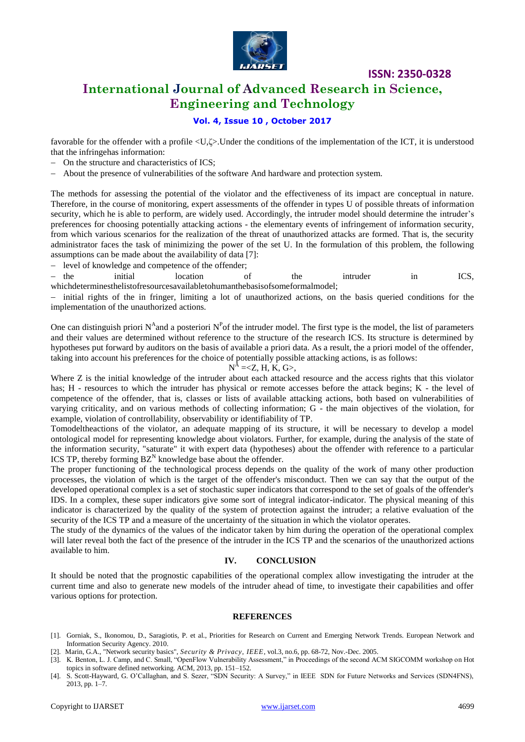

### **International Journal of Advanced Research in Science, Engineering and Technology**

### **Vol. 4, Issue 10 , October 2017**

favorable for the offender with a profile <U, $\zeta$ >.Under the conditions of the implementation of the ICT, it is understood that the infringehas information:

- On the structure and characteristics of ICS;
- About the presence of vulnerabilities of the software And hardware and protection system.

The methods for assessing the potential of the violator and the effectiveness of its impact are conceptual in nature. Therefore, in the course of monitoring, expert assessments of the offender in types U of possible threats of information security, which he is able to perform, are widely used. Accordingly, the intruder model should determine the intruder's preferences for choosing potentially attacking actions - the elementary events of infringement of information security, from which various scenarios for the realization of the threat of unauthorized attacks are formed. That is, the security administrator faces the task of minimizing the power of the set U. In the formulation of this problem, the following assumptions can be made about the availability of data [7]:

- level of knowledge and competence of the offender;

- the initial location of the intruder in ICS, whichdeterminesthelistofresourcesavailabletohumanthebasisofsomeformalmodel;

 initial rights of the in fringer, limiting a lot of unauthorized actions, on the basis queried conditions for the implementation of the unauthorized actions.

One can distinguish priori N<sup>A</sup> and a posteriori N<sup>P</sup> of the intruder model. The first type is the model, the list of parameters and their values are determined without reference to the structure of the research ICS. Its structure is determined by hypotheses put forward by auditors on the basis of available a priori data. As a result, the a priori model of the offender, taking into account his preferences for the choice of potentially possible attacking actions, is as follows:

$$
N^{\tilde{A}}=,
$$

Where Z is the initial knowledge of the intruder about each attacked resource and the access rights that this violator has; H - resources to which the intruder has physical or remote accesses before the attack begins; K - the level of competence of the offender, that is, classes or lists of available attacking actions, both based on vulnerabilities of varying criticality, and on various methods of collecting information; G - the main objectives of the violation, for example, violation of controllability, observability or identifiability of TP.

Tomodeltheactions of the violator, an adequate mapping of its structure, it will be necessary to develop a model ontological model for representing knowledge about violators. Further, for example, during the analysis of the state of the information security, "saturate" it with expert data (hypotheses) about the offender with reference to a particular ICS TP, thereby forming  $BZ^N$  knowledge base about the offender.

The proper functioning of the technological process depends on the quality of the work of many other production processes, the violation of which is the target of the offender's misconduct. Then we can say that the output of the developed operational complex is a set of stochastic super indicators that correspond to the set of goals of the offender's IDS. In a complex, these super indicators give some sort of integral indicator-indicator. The physical meaning of this indicator is characterized by the quality of the system of protection against the intruder; a relative evaluation of the security of the ICS TP and a measure of the uncertainty of the situation in which the violator operates.

The study of the dynamics of the values of the indicator taken by him during the operation of the operational complex will later reveal both the fact of the presence of the intruder in the ICS TP and the scenarios of the unauthorized actions available to him.

#### **IV. CONCLUSION**

It should be noted that the prognostic capabilities of the operational complex allow investigating the intruder at the current time and also to generate new models of the intruder ahead of time, to investigate their capabilities and offer various options for protection.

#### **REFERENCES**

- [1]. Gorniak, S., Ikonomou, D., Saragiotis, P. et al., Priorities for Research on Current and Emerging Network Trends. European Network and Information Security Agency. 2010.
- [2]. Marin, G.A., "Network security basics", *Security & Privacy, IEEE*, vol.3, no.6, pp. 68-72, Nov.-Dec. 2005.
- [3]. K. Benton, L. J. Camp, and C. Small, "OpenFlow Vulnerability Assessment," in Proceedings of the second ACM SIGCOMM workshop on Hot topics in software defined networking. ACM, 2013, pp. 151–152. [4]. S. Scott-Hayward, G. O'Callaghan, and S. Sezer, "SDN Security: A Survey," in IEEE SDN for Future Networks and Services (SDN4FNS),
- 2013, pp. 1–7.